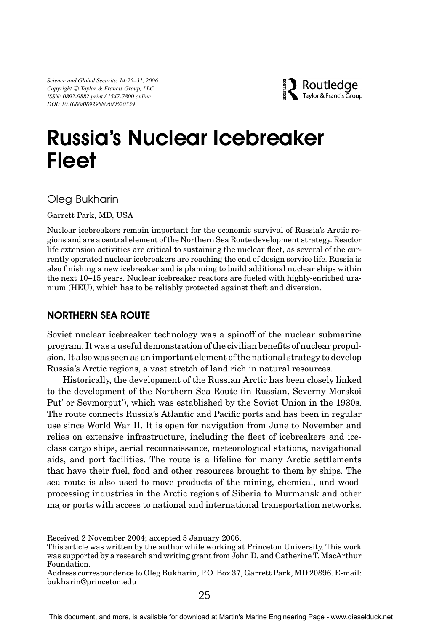*Science and Global Security, 14:25–31, 2006 Copyright* <sup>C</sup> *Taylor & Francis Group, LLC ISSN: 0892-9882 print / 1547-7800 online DOI: 10.1080/08929880600620559*



# Russia's Nuclear Icebreaker Fleet

## Oleg Bukharin

Garrett Park, MD, USA

Nuclear icebreakers remain important for the economic survival of Russia's Arctic regions and are a central element of the Northern Sea Route development strategy. Reactor life extension activities are critical to sustaining the nuclear fleet, as several of the currently operated nuclear icebreakers are reaching the end of design service life. Russia is also finishing a new icebreaker and is planning to build additional nuclear ships within the next 10–15 years. Nuclear icebreaker reactors are fueled with highly-enriched uranium (HEU), which has to be reliably protected against theft and diversion.

# NORTHERN SEA ROUTE

Soviet nuclear icebreaker technology was a spinoff of the nuclear submarine program. It was a useful demonstration of the civilian benefits of nuclear propulsion. It also was seen as an important element of the national strategy to develop Russia's Arctic regions, a vast stretch of land rich in natural resources.

Historically, the development of the Russian Arctic has been closely linked to the development of the Northern Sea Route (in Russian, Severny Morskoi Put' or Sevmorput'), which was established by the Soviet Union in the 1930s. The route connects Russia's Atlantic and Pacific ports and has been in regular use since World War II. It is open for navigation from June to November and relies on extensive infrastructure, including the fleet of icebreakers and iceclass cargo ships, aerial reconnaissance, meteorological stations, navigational aids, and port facilities. The route is a lifeline for many Arctic settlements that have their fuel, food and other resources brought to them by ships. The sea route is also used to move products of the mining, chemical, and woodprocessing industries in the Arctic regions of Siberia to Murmansk and other major ports with access to national and international transportation networks.

Received 2 November 2004; accepted 5 January 2006.

This article was written by the author while working at Princeton University. This work was supported by a research and writing grant from John D. and Catherine T. MacArthur Foundation.

Address correspondence to Oleg Bukharin, P.O. Box 37, Garrett Park, MD 20896. E-mail: bukharin@princeton.edu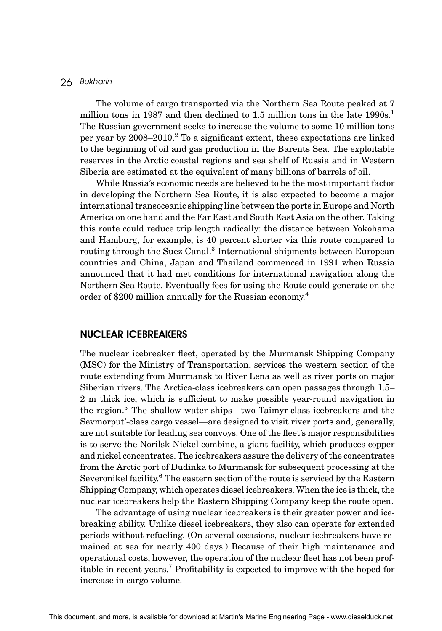#### 26 *Bukharin*

The volume of cargo transported via the Northern Sea Route peaked at 7 million tons in 1987 and then declined to 1.5 million tons in the late 1990s.<sup>1</sup> The Russian government seeks to increase the volume to some 10 million tons per year by  $2008-2010$ .<sup>2</sup> To a significant extent, these expectations are linked to the beginning of oil and gas production in the Barents Sea. The exploitable reserves in the Arctic coastal regions and sea shelf of Russia and in Western Siberia are estimated at the equivalent of many billions of barrels of oil.

While Russia's economic needs are believed to be the most important factor in developing the Northern Sea Route, it is also expected to become a major international transoceanic shipping line between the ports in Europe and North America on one hand and the Far East and South East Asia on the other. Taking this route could reduce trip length radically: the distance between Yokohama and Hamburg, for example, is 40 percent shorter via this route compared to routing through the Suez Canal.<sup>3</sup> International shipments between European countries and China, Japan and Thailand commenced in 1991 when Russia announced that it had met conditions for international navigation along the Northern Sea Route. Eventually fees for using the Route could generate on the order of \$200 million annually for the Russian economy.4

### NUCLEAR ICEBREAKERS

The nuclear icebreaker fleet, operated by the Murmansk Shipping Company (MSC) for the Ministry of Transportation, services the western section of the route extending from Murmansk to River Lena as well as river ports on major Siberian rivers. The Arctica-class icebreakers can open passages through 1.5– 2 m thick ice, which is sufficient to make possible year-round navigation in the region.<sup>5</sup> The shallow water ships—two Taimyr-class icebreakers and the Sevmorput'-class cargo vessel—are designed to visit river ports and, generally, are not suitable for leading sea convoys. One of the fleet's major responsibilities is to serve the Norilsk Nickel combine, a giant facility, which produces copper and nickel concentrates. The icebreakers assure the delivery of the concentrates from the Arctic port of Dudinka to Murmansk for subsequent processing at the Severonikel facility. $6$  The eastern section of the route is serviced by the Eastern Shipping Company, which operates diesel icebreakers. When the ice is thick, the nuclear icebreakers help the Eastern Shipping Company keep the route open.

The advantage of using nuclear icebreakers is their greater power and icebreaking ability. Unlike diesel icebreakers, they also can operate for extended periods without refueling. (On several occasions, nuclear icebreakers have remained at sea for nearly 400 days.) Because of their high maintenance and operational costs, however, the operation of the nuclear fleet has not been profitable in recent years.7 Profitability is expected to improve with the hoped-for increase in cargo volume.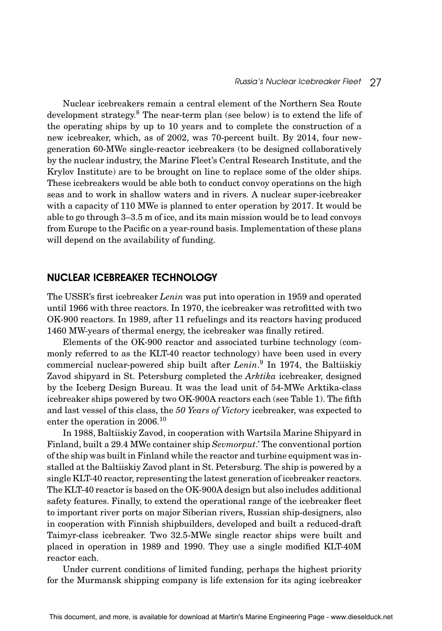Nuclear icebreakers remain a central element of the Northern Sea Route development strategy.<sup>8</sup> The near-term plan (see below) is to extend the life of the operating ships by up to 10 years and to complete the construction of a new icebreaker, which, as of 2002, was 70-percent built. By 2014, four newgeneration 60-MWe single-reactor icebreakers (to be designed collaboratively by the nuclear industry, the Marine Fleet's Central Research Institute, and the Krylov Institute) are to be brought on line to replace some of the older ships. These icebreakers would be able both to conduct convoy operations on the high seas and to work in shallow waters and in rivers. A nuclear super-icebreaker with a capacity of 110 MWe is planned to enter operation by 2017. It would be able to go through 3–3.5 m of ice, and its main mission would be to lead convoys from Europe to the Pacific on a year-round basis. Implementation of these plans will depend on the availability of funding.

## NUCLEAR ICEBREAKER TECHNOLOGY

The USSR's first icebreaker *Lenin* was put into operation in 1959 and operated until 1966 with three reactors. In 1970, the icebreaker was retrofitted with two OK-900 reactors. In 1989, after 11 refuelings and its reactors having produced 1460 MW-years of thermal energy, the icebreaker was finally retired.

Elements of the OK-900 reactor and associated turbine technology (commonly referred to as the KLT-40 reactor technology) have been used in every commercial nuclear-powered ship built after *Lenin*. <sup>9</sup> In 1974, the Baltiiskiy Zavod shipyard in St. Petersburg completed the *Arktika* icebreaker, designed by the Iceberg Design Bureau. It was the lead unit of 54-MWe Arktika-class icebreaker ships powered by two OK-900A reactors each (see Table 1). The fifth and last vessel of this class, the *50 Years of Victory* icebreaker, was expected to enter the operation in  $2006.<sup>10</sup>$ 

In 1988, Baltiiskiy Zavod, in cooperation with Wartsila Marine Shipyard in Finland, built a 29.4 MWe container ship *Sevmorput*.' The conventional portion of the ship was built in Finland while the reactor and turbine equipment was installed at the Baltiiskiy Zavod plant in St. Petersburg. The ship is powered by a single KLT-40 reactor, representing the latest generation of icebreaker reactors. The KLT-40 reactor is based on the OK-900A design but also includes additional safety features. Finally, to extend the operational range of the icebreaker fleet to important river ports on major Siberian rivers, Russian ship-designers, also in cooperation with Finnish shipbuilders, developed and built a reduced-draft Taimyr-class icebreaker. Two 32.5-MWe single reactor ships were built and placed in operation in 1989 and 1990. They use a single modified KLT-40M reactor each.

Under current conditions of limited funding, perhaps the highest priority for the Murmansk shipping company is life extension for its aging icebreaker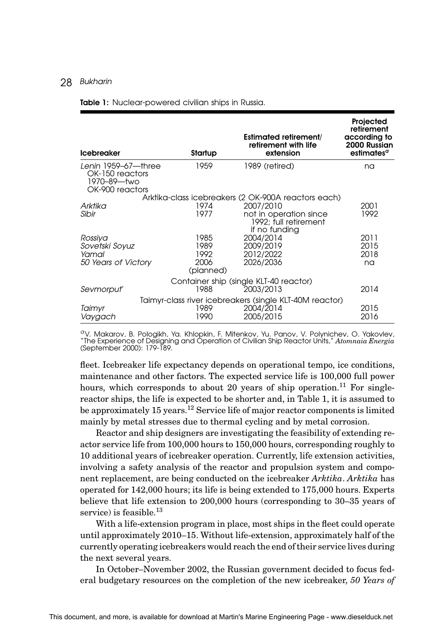#### 28 *Bukharin*

#### Table 1: Nuclear-powered civilian ships in Russia.

| <b>Icebreaker</b>                                                        | Startup           | <b>Estimated retirement/</b><br>retirement with life<br>extension | Projected<br>retirement<br>according to<br>2000 Russian<br>estimates <sup>a</sup> |
|--------------------------------------------------------------------------|-------------------|-------------------------------------------------------------------|-----------------------------------------------------------------------------------|
| Lenin 1959-67-three<br>OK-150 reactors<br>1970–89—two<br>OK-900 reactors | 1959              | 1989 (retired)                                                    | na                                                                                |
| Arktika-class icebreakers (2 OK-900A reactors each)                      |                   |                                                                   |                                                                                   |
| Arktika                                                                  | 1974              | 2007/2010                                                         | 2001                                                                              |
| Sibir                                                                    | 1977              | not in operation since<br>1992; full retirement<br>if no funding  | 1992                                                                              |
| Rossiya                                                                  | 1985              | 2004/2014                                                         | 2011                                                                              |
| Sovetski Soyuz                                                           | 1989              | 2009/2019                                                         | 2015                                                                              |
| Yamal                                                                    | 1992              | 2012/2022                                                         | 2018                                                                              |
| 50 Years of Victory                                                      | 2006<br>(planned) | 2026/2036                                                         | na                                                                                |
|                                                                          |                   | Container ship (single KLT-40 reactor)                            |                                                                                   |
| Sevmorput                                                                | 1988              | 2003/2013                                                         | 2014                                                                              |
|                                                                          |                   | Taimyr-class river icebreakers (single KLT-40M reactor)           |                                                                                   |
| Taimyr                                                                   | 1989              | 2004/2014                                                         | 2015                                                                              |
| Vaygach                                                                  | 1990              | 2005/2015                                                         | 2016                                                                              |

*<sup>a</sup>*V. Makarov, B. Pologikh, Ya. Khlopkin, F. Mitenkov, Yu. Panov, V. Polynichev, O. Yakovlev, "The Experience of Designing and Operation of Civilian Ship Reactor Units," *Atomnaia Energia* (September 2000): 179-189.

fleet. Icebreaker life expectancy depends on operational tempo, ice conditions, maintenance and other factors. The expected service life is 100,000 full power hours, which corresponds to about 20 years of ship operation.<sup>11</sup> For singlereactor ships, the life is expected to be shorter and, in Table 1, it is assumed to be approximately 15 years.<sup>12</sup> Service life of major reactor components is limited mainly by metal stresses due to thermal cycling and by metal corrosion.

Reactor and ship designers are investigating the feasibility of extending reactor service life from 100,000 hours to 150,000 hours, corresponding roughly to 10 additional years of icebreaker operation. Currently, life extension activities, involving a safety analysis of the reactor and propulsion system and component replacement, are being conducted on the icebreaker *Arktika*. *Arktika* has operated for 142,000 hours; its life is being extended to 175,000 hours. Experts believe that life extension to 200,000 hours (corresponding to 30–35 years of service) is feasible. $^{13}$ 

With a life-extension program in place, most ships in the fleet could operate until approximately 2010–15. Without life-extension, approximately half of the currently operating icebreakers would reach the end of their service lives during the next several years.

In October–November 2002, the Russian government decided to focus federal budgetary resources on the completion of the new icebreaker, *50 Years of*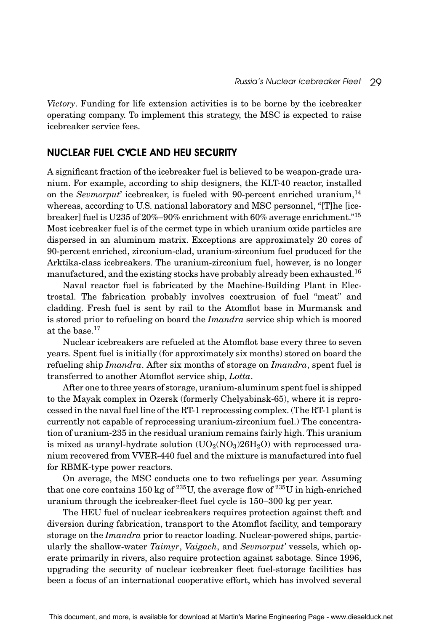*Victory*. Funding for life extension activities is to be borne by the icebreaker operating company. To implement this strategy, the MSC is expected to raise icebreaker service fees.

## NUCLEAR FUEL CYCLE AND HEU SECURITY

A significant fraction of the icebreaker fuel is believed to be weapon-grade uranium. For example, according to ship designers, the KLT-40 reactor, installed on the *Sevmorput*' icebreaker, is fueled with 90-percent enriched uranium,<sup>14</sup> whereas, according to U.S. national laboratory and MSC personnel, "[T]he [icebreaker] fuel is U235 of 20%–90% enrichment with 60% average enrichment."<sup>15</sup> Most icebreaker fuel is of the cermet type in which uranium oxide particles are dispersed in an aluminum matrix. Exceptions are approximately 20 cores of 90-percent enriched, zirconium-clad, uranium-zirconium fuel produced for the Arktika-class icebreakers. The uranium-zirconium fuel, however, is no longer manufactured, and the existing stocks have probably already been exhausted.<sup>16</sup>

Naval reactor fuel is fabricated by the Machine-Building Plant in Electrostal. The fabrication probably involves coextrusion of fuel "meat" and cladding. Fresh fuel is sent by rail to the Atomflot base in Murmansk and is stored prior to refueling on board the *Imandra* service ship which is moored at the base.<sup>17</sup>

Nuclear icebreakers are refueled at the Atomflot base every three to seven years. Spent fuel is initially (for approximately six months) stored on board the refueling ship *Imandra*. After six months of storage on *Imandra*, spent fuel is transferred to another Atomflot service ship, *Lotta*.

After one to three years of storage, uranium-aluminum spent fuel is shipped to the Mayak complex in Ozersk (formerly Chelyabinsk-65), where it is reprocessed in the naval fuel line of the RT-1 reprocessing complex. (The RT-1 plant is currently not capable of reprocessing uranium-zirconium fuel.) The concentration of uranium-235 in the residual uranium remains fairly high. This uranium is mixed as uranyl-hydrate solution  $(UO_2(NO_3)26H_2O)$  with reprocessed uranium recovered from VVER-440 fuel and the mixture is manufactured into fuel for RBMK-type power reactors.

On average, the MSC conducts one to two refuelings per year. Assuming that one core contains 150 kg of  $^{235}$ U, the average flow of  $^{235}$ U in high-enriched uranium through the icebreaker-fleet fuel cycle is 150–300 kg per year.

The HEU fuel of nuclear icebreakers requires protection against theft and diversion during fabrication, transport to the Atomflot facility, and temporary storage on the *Imandra* prior to reactor loading. Nuclear-powered ships, particularly the shallow-water *Taimyr*, *Vaigach*, and *Sevmorput'* vessels, which operate primarily in rivers, also require protection against sabotage. Since 1996, upgrading the security of nuclear icebreaker fleet fuel-storage facilities has been a focus of an international cooperative effort, which has involved several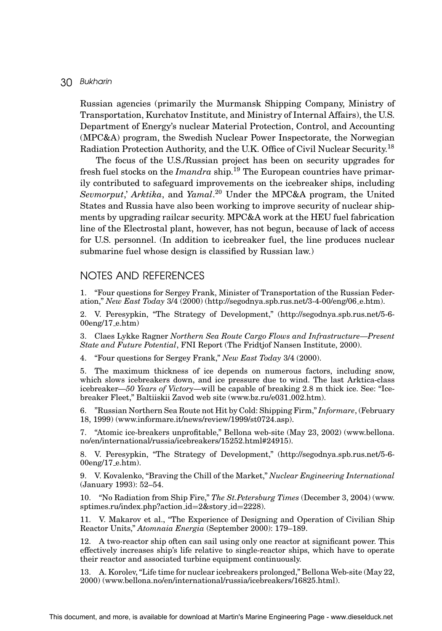#### 30 *Bukharin*

Russian agencies (primarily the Murmansk Shipping Company, Ministry of Transportation, Kurchatov Institute, and Ministry of Internal Affairs), the U.S. Department of Energy's nuclear Material Protection, Control, and Accounting (MPC&A) program, the Swedish Nuclear Power Inspectorate, the Norwegian Radiation Protection Authority, and the U.K. Office of Civil Nuclear Security.18

The focus of the U.S./Russian project has been on security upgrades for fresh fuel stocks on the *Imandra* ship.19 The European countries have primarily contributed to safeguard improvements on the icebreaker ships, including *Sevmorput*,' *Arktika*, and *Yamal*. <sup>20</sup> Under the MPC&A program, the United States and Russia have also been working to improve security of nuclear shipments by upgrading railcar security. MPC&A work at the HEU fuel fabrication line of the Electrostal plant, however, has not begun, because of lack of access for U.S. personnel. (In addition to icebreaker fuel, the line produces nuclear submarine fuel whose design is classified by Russian law.)

# NOTES AND REFERENCES

1. "Four questions for Sergey Frank, Minister of Transportation of the Russian Federation," *New East Today* 3/4 (2000) (http://segodnya.spb.rus.net/3-4-00/eng/06 e.htm).

2. V. Peresypkin, "The Strategy of Development," (http://segodnya.spb.rus.net/5-6- 00eng/17 e.htm)

3. Claes Lykke Ragner *Northern Sea Route Cargo Flows and Infrastructure—Present State and Future Potential*, FNI Report (The Fridtjof Nansen Institute, 2000).

4. "Four questions for Sergey Frank," *New East Today* 3/4 (2000).

5. The maximum thickness of ice depends on numerous factors, including snow, which slows icebreakers down, and ice pressure due to wind. The last Arktica-class icebreaker—*50 Years of Victory*—will be capable of breaking 2.8 m thick ice. See: "Icebreaker Fleet," Baltiiskii Zavod web site (www.bz.ru/e031 002.htm).

6. "Russian Northern Sea Route not Hit by Cold: Shipping Firm," *Informare*, (February 18, 1999) (www.informare.it/news/review/1999/st0724.asp).

7. "Atomic ice-breakers unprofitable," Bellona web-site (May 23, 2002) (www.bellona. no/en/international/russia/icebreakers/15252.html#24915).

8. V. Peresypkin, "The Strategy of Development," (http://segodnya.spb.rus.net/5-6- 00eng/17 e.htm).

9. V. Kovalenko, "Braving the Chill of the Market," *Nuclear Engineering International* (January 1993): 52–54.

10. "No Radiation from Ship Fire," *The St.Petersburg Times* (December 3, 2004) (www. sptimes.ru/index.php?action id=2&story id=2228).

11. V. Makarov et al., "The Experience of Designing and Operation of Civilian Ship Reactor Units," *Atomnaia Energia* (September 2000): 179–189.

12. A two-reactor ship often can sail using only one reactor at significant power. This effectively increases ship's life relative to single-reactor ships, which have to operate their reactor and associated turbine equipment continuously.

13. A. Korolev, "Life time for nuclear icebreakers prolonged," Bellona Web-site (May 22, 2000) (www.bellona.no/en/international/russia/icebreakers/16825.html).